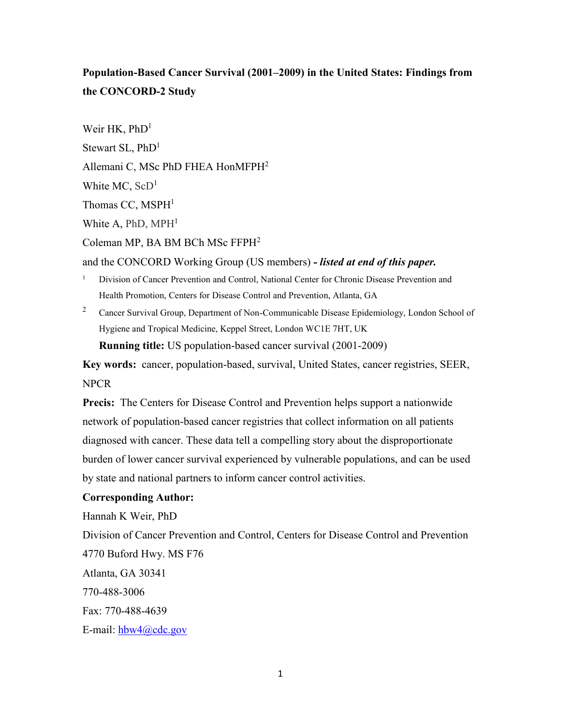# **Population-Based Cancer Survival (2001–2009) in the United States: Findings from the CONCORD-2 Study**

Weir HK,  $PhD<sup>1</sup>$ Stewart SL, PhD<sup>1</sup> Allemani C, MSc PhD FHEA HonMFPH<sup>2</sup> White MC,  $ScD<sup>1</sup>$ Thomas CC,  $MSPH<sup>1</sup>$ White A, PhD,  $MPH<sup>1</sup>$ Coleman MP, BA BM BCh MSc FFPH<sup>2</sup>

and the CONCORD Working Group (US members) *- listed at end of this paper.*

- <sup>1</sup> Division of Cancer Prevention and Control, National Center for Chronic Disease Prevention and Health Promotion, Centers for Disease Control and Prevention, Atlanta, GA
- <sup>2</sup> Cancer Survival Group, Department of Non-Communicable Disease Epidemiology, London School of Hygiene and Tropical Medicine, Keppel Street, London WC1E 7HT, UK **Running title:** US population-based cancer survival (2001-2009)

**Key words:** cancer, population-based, survival, United States, cancer registries, SEER, NPCR

**Precis:** The Centers for Disease Control and Prevention helps support a nationwide network of population-based cancer registries that collect information on all patients diagnosed with cancer. These data tell a compelling story about the disproportionate burden of lower cancer survival experienced by vulnerable populations, and can be used by state and national partners to inform cancer control activities.

# **Corresponding Author:**

Hannah K Weir, PhD

Division of Cancer Prevention and Control, Centers for Disease Control and Prevention 4770 Buford Hwy. MS F76

Atlanta, GA 30341

770-488-3006

Fax: 770-488-4639

E-mail: [hbw4@cdc.gov](mailto:hbw4@cdc.gov)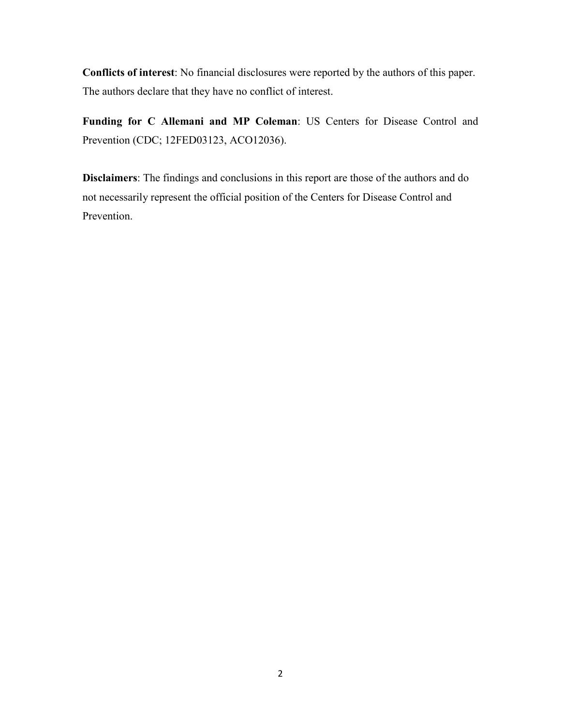**Conflicts of interest**: No financial disclosures were reported by the authors of this paper. The authors declare that they have no conflict of interest.

**Funding for C Allemani and MP Coleman**: US Centers for Disease Control and Prevention (CDC; 12FED03123, ACO12036).

**Disclaimers**: The findings and conclusions in this report are those of the authors and do not necessarily represent the official position of the Centers for Disease Control and Prevention.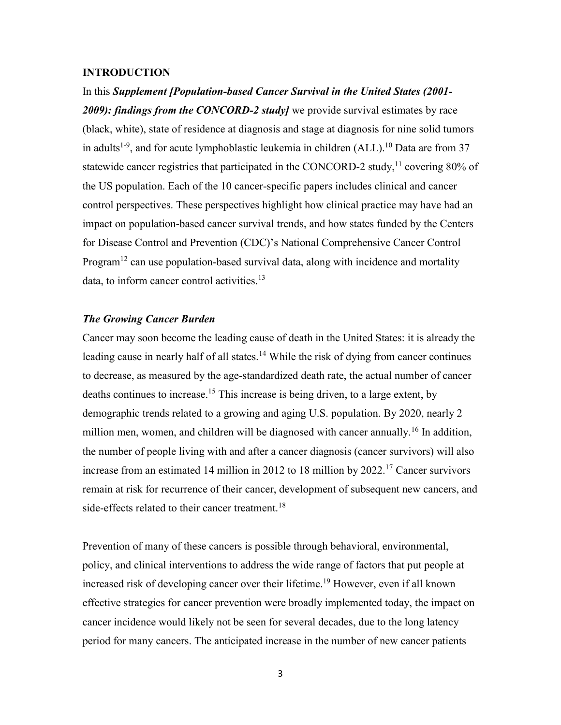#### **INTRODUCTION**

In this *Supplement [Population-based Cancer Survival in the United States (2001- 2009): findings from the CONCORD-2 study]* we provide survival estimates by race (black, white), state of residence at diagnosis and stage at diagnosis for nine solid tumors in adults<sup>1-9</sup>, and for acute lymphoblastic leukemia in children (ALL).<sup>10</sup> Data are from 37 statewide cancer registries that participated in the CONCORD-2 study,  $11$  covering 80% of the US population. Each of the 10 cancer-specific papers includes clinical and cancer control perspectives. These perspectives highlight how clinical practice may have had an impact on population-based cancer survival trends, and how states funded by the Centers for Disease Control and Prevention (CDC)'s National Comprehensive Cancer Control Program<sup>12</sup> can use population-based survival data, along with incidence and mortality data, to inform cancer control activities.<sup>13</sup>

# *The Growing Cancer Burden*

Cancer may soon become the leading cause of death in the United States: it is already the leading cause in nearly half of all states.<sup>14</sup> While the risk of dying from cancer continues to decrease, as measured by the age-standardized death rate, the actual number of cancer deaths continues to increase.<sup>15</sup> This increase is being driven, to a large extent, by demographic trends related to a growing and aging U.S. population. By 2020, nearly 2 million men, women, and children will be diagnosed with cancer annually.<sup>16</sup> In addition, the number of people living with and after a cancer diagnosis (cancer survivors) will also increase from an estimated 14 million in 2012 to 18 million by  $2022$ <sup>17</sup> Cancer survivors remain at risk for recurrence of their cancer, development of subsequent new cancers, and side-effects related to their cancer treatment.<sup>18</sup>

Prevention of many of these cancers is possible through behavioral, environmental, policy, and clinical interventions to address the wide range of factors that put people at increased risk of developing cancer over their lifetime.<sup>19</sup> However, even if all known effective strategies for cancer prevention were broadly implemented today, the impact on cancer incidence would likely not be seen for several decades, due to the long latency period for many cancers. The anticipated increase in the number of new cancer patients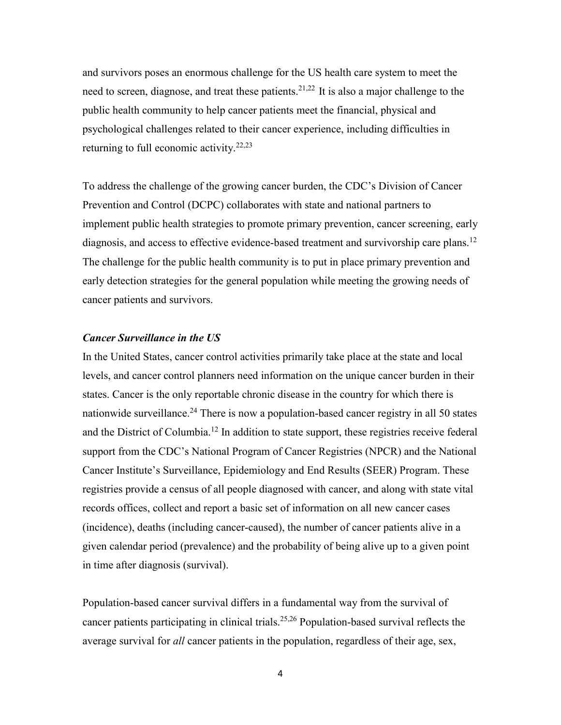and survivors poses an enormous challenge for the US health care system to meet the need to screen, diagnose, and treat these patients.<sup>21,22</sup> It is also a major challenge to the public health community to help cancer patients meet the financial, physical and psychological challenges related to their cancer experience, including difficulties in returning to full economic activity.<sup>22,23</sup>

To address the challenge of the growing cancer burden, the CDC's Division of Cancer Prevention and Control (DCPC) collaborates with state and national partners to implement public health strategies to promote primary prevention, cancer screening, early diagnosis, and access to effective evidence-based treatment and survivorship care plans.<sup>12</sup> The challenge for the public health community is to put in place primary prevention and early detection strategies for the general population while meeting the growing needs of cancer patients and survivors.

### *Cancer Surveillance in the US*

In the United States, cancer control activities primarily take place at the state and local levels, and cancer control planners need information on the unique cancer burden in their states. Cancer is the only reportable chronic disease in the country for which there is nationwide surveillance.<sup>24</sup> There is now a population-based cancer registry in all 50 states and the District of Columbia.<sup>12</sup> In addition to state support, these registries receive federal support from the CDC's National Program of Cancer Registries (NPCR) and the National Cancer Institute's Surveillance, Epidemiology and End Results (SEER) Program. These registries provide a census of all people diagnosed with cancer, and along with state vital records offices, collect and report a basic set of information on all new cancer cases (incidence), deaths (including cancer-caused), the number of cancer patients alive in a given calendar period (prevalence) and the probability of being alive up to a given point in time after diagnosis (survival).

Population-based cancer survival differs in a fundamental way from the survival of cancer patients participating in clinical trials.25,26 Population-based survival reflects the average survival for *all* cancer patients in the population, regardless of their age, sex,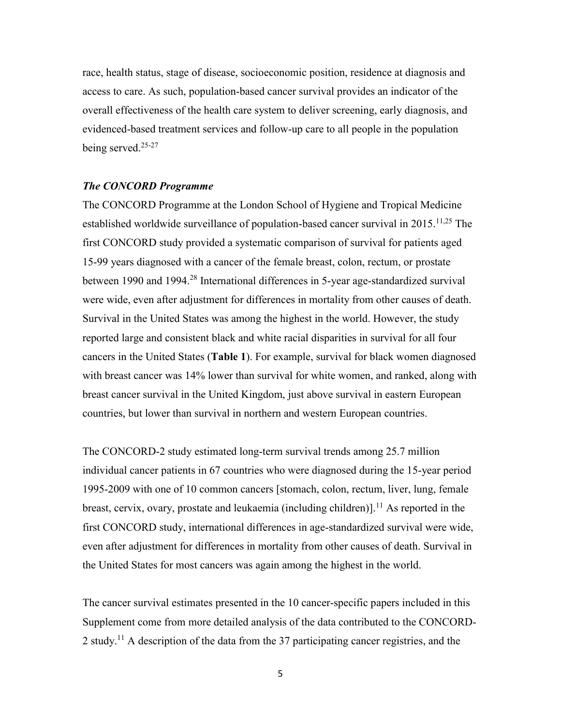race, health status, stage of disease, socioeconomic position, residence at diagnosis and access to care. As such, population-based cancer survival provides an indicator of the overall effectiveness of the health care system to deliver screening, early diagnosis, and evidenced-based treatment services and follow-up care to all people in the population being served.<sup>25-27</sup>

## *The CONCORD Programme*

The CONCORD Programme at the London School of Hygiene and Tropical Medicine established worldwide surveillance of population-based cancer survival in 2015.<sup>11,25</sup> The first CONCORD study provided a systematic comparison of survival for patients aged 15-99 years diagnosed with a cancer of the female breast, colon, rectum, or prostate between 1990 and 1994.<sup>28</sup> International differences in 5-year age-standardized survival were wide, even after adjustment for differences in mortality from other causes of death. Survival in the United States was among the highest in the world. However, the study reported large and consistent black and white racial disparities in survival for all four cancers in the United States (**Table 1**). For example, survival for black women diagnosed with breast cancer was 14% lower than survival for white women, and ranked, along with breast cancer survival in the United Kingdom, just above survival in eastern European countries, but lower than survival in northern and western European countries.

The CONCORD-2 study estimated long-term survival trends among 25.7 million individual cancer patients in 67 countries who were diagnosed during the 15-year period 1995-2009 with one of 10 common cancers [stomach, colon, rectum, liver, lung, female breast, cervix, ovary, prostate and leukaemia (including children)].<sup>11</sup> As reported in the first CONCORD study, international differences in age-standardized survival were wide, even after adjustment for differences in mortality from other causes of death. Survival in the United States for most cancers was again among the highest in the world.

The cancer survival estimates presented in the 10 cancer-specific papers included in this Supplement come from more detailed analysis of the data contributed to the CONCORD-2 study.<sup>11</sup> A description of the data from the 37 participating cancer registries, and the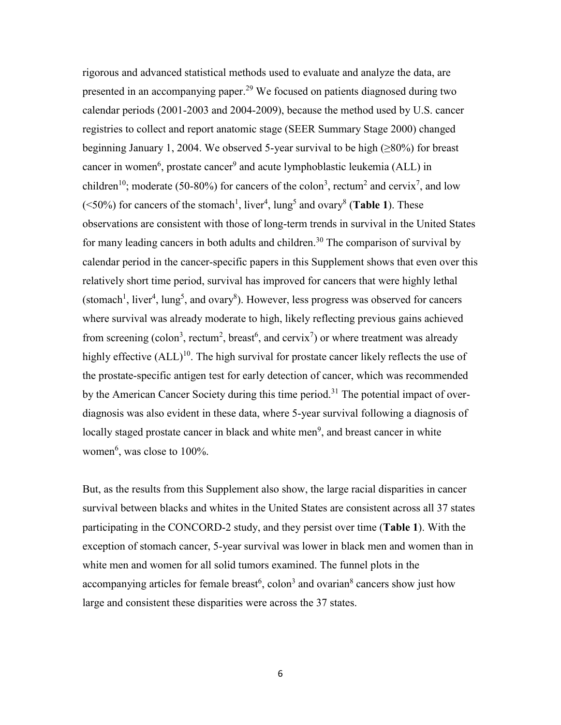rigorous and advanced statistical methods used to evaluate and analyze the data, are presented in an accompanying paper.<sup>29</sup> We focused on patients diagnosed during two calendar periods (2001-2003 and 2004-2009), because the method used by U.S. cancer registries to collect and report anatomic stage (SEER Summary Stage 2000) changed beginning January 1, 2004. We observed 5-year survival to be high  $(\geq 80\%)$  for breast cancer in women<sup>6</sup>, prostate cancer<sup>9</sup> and acute lymphoblastic leukemia (ALL) in children<sup>10</sup>; moderate (50-80%) for cancers of the colon<sup>3</sup>, rectum<sup>2</sup> and cervix<sup>7</sup>, and low  $(\leq 50\%)$  for cancers of the stomach<sup>1</sup>, liver<sup>4</sup>, lung<sup>5</sup> and ovary<sup>8</sup> (**Table 1**). These observations are consistent with those of long-term trends in survival in the United States for many leading cancers in both adults and children.<sup>30</sup> The comparison of survival by calendar period in the cancer-specific papers in this Supplement shows that even over this relatively short time period, survival has improved for cancers that were highly lethal (stomach<sup>1</sup>, liver<sup>4</sup>, lung<sup>5</sup>, and ovary<sup>8</sup>). However, less progress was observed for cancers where survival was already moderate to high, likely reflecting previous gains achieved from screening (colon<sup>3</sup>, rectum<sup>2</sup>, breast<sup>6</sup>, and cervix<sup>7</sup>) or where treatment was already highly effective  $(ALL)^{10}$ . The high survival for prostate cancer likely reflects the use of the prostate-specific antigen test for early detection of cancer, which was recommended by the American Cancer Society during this time period.<sup>31</sup> The potential impact of overdiagnosis was also evident in these data, where 5-year survival following a diagnosis of locally staged prostate cancer in black and white men<sup>9</sup>, and breast cancer in white women<sup>6</sup>, was close to 100%.

But, as the results from this Supplement also show, the large racial disparities in cancer survival between blacks and whites in the United States are consistent across all 37 states participating in the CONCORD-2 study, and they persist over time (**Table 1**). With the exception of stomach cancer, 5-year survival was lower in black men and women than in white men and women for all solid tumors examined. The funnel plots in the accompanying articles for female breast<sup>6</sup>, colon<sup>3</sup> and ovarian<sup>8</sup> cancers show just how large and consistent these disparities were across the 37 states.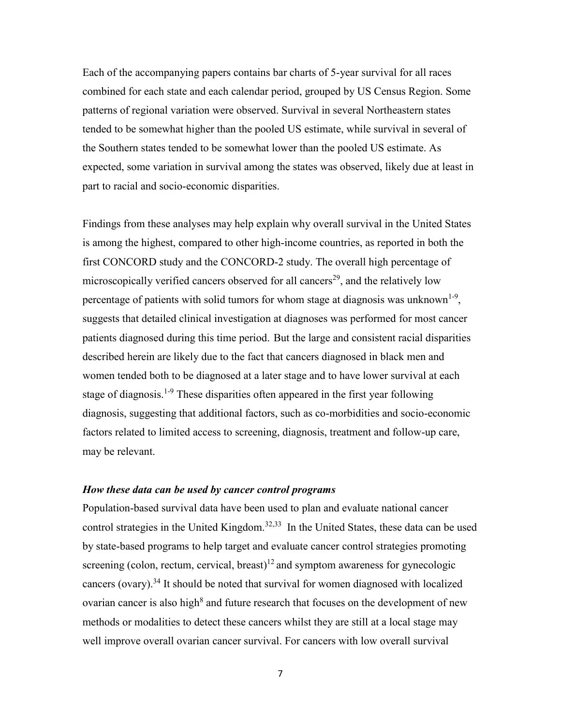Each of the accompanying papers contains bar charts of 5-year survival for all races combined for each state and each calendar period, grouped by US Census Region. Some patterns of regional variation were observed. Survival in several Northeastern states tended to be somewhat higher than the pooled US estimate, while survival in several of the Southern states tended to be somewhat lower than the pooled US estimate. As expected, some variation in survival among the states was observed, likely due at least in part to racial and socio-economic disparities.

Findings from these analyses may help explain why overall survival in the United States is among the highest, compared to other high-income countries, as reported in both the first CONCORD study and the CONCORD-2 study. The overall high percentage of microscopically verified cancers observed for all cancers<sup>29</sup>, and the relatively low percentage of patients with solid tumors for whom stage at diagnosis was unknown<sup>1-9</sup>, suggests that detailed clinical investigation at diagnoses was performed for most cancer patients diagnosed during this time period. But the large and consistent racial disparities described herein are likely due to the fact that cancers diagnosed in black men and women tended both to be diagnosed at a later stage and to have lower survival at each stage of diagnosis.<sup>1-9</sup> These disparities often appeared in the first year following diagnosis, suggesting that additional factors, such as co-morbidities and socio-economic factors related to limited access to screening, diagnosis, treatment and follow-up care, may be relevant.

## *How these data can be used by cancer control programs*

Population-based survival data have been used to plan and evaluate national cancer control strategies in the United Kingdom.<sup>32,33</sup> In the United States, these data can be used by state-based programs to help target and evaluate cancer control strategies promoting screening (colon, rectum, cervical, breast)<sup>12</sup> and symptom awareness for gynecologic cancers (ovary).<sup>34</sup> It should be noted that survival for women diagnosed with localized ovarian cancer is also high<sup>8</sup> and future research that focuses on the development of new methods or modalities to detect these cancers whilst they are still at a local stage may well improve overall ovarian cancer survival. For cancers with low overall survival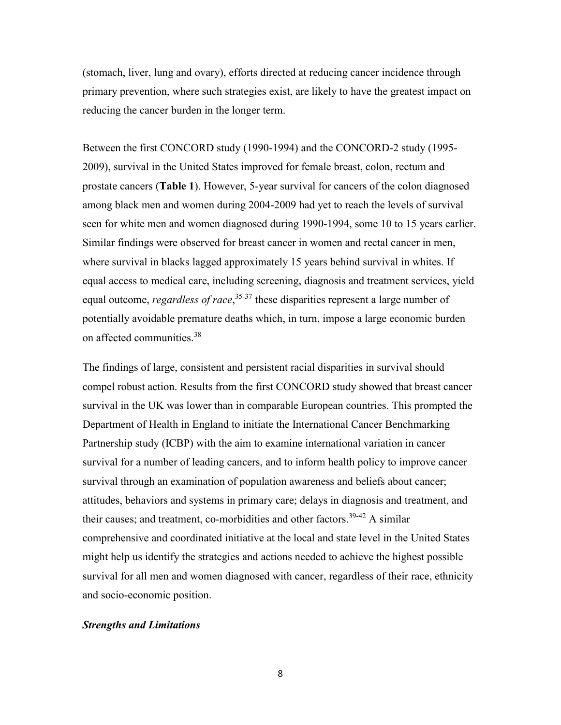(stomach, liver, lung and ovary), efforts directed at reducing cancer incidence through primary prevention, where such strategies exist, are likely to have the greatest impact on reducing the cancer burden in the longer term.

Between the first CONCORD study (1990-1994) and the CONCORD-2 study (1995- 2009), survival in the United States improved for female breast, colon, rectum and prostate cancers (**Table 1**). However, 5-year survival for cancers of the colon diagnosed among black men and women during 2004-2009 had yet to reach the levels of survival seen for white men and women diagnosed during 1990-1994, some 10 to 15 years earlier. Similar findings were observed for breast cancer in women and rectal cancer in men, where survival in blacks lagged approximately 15 years behind survival in whites. If equal access to medical care, including screening, diagnosis and treatment services, yield equal outcome, *regardless of race*, 35-37 these disparities represent a large number of potentially avoidable premature deaths which, in turn, impose a large economic burden on affected communities.<sup>38</sup>

The findings of large, consistent and persistent racial disparities in survival should compel robust action. Results from the first CONCORD study showed that breast cancer survival in the UK was lower than in comparable European countries. This prompted the Department of Health in England to initiate the International Cancer Benchmarking Partnership study (ICBP) with the aim to examine international variation in cancer survival for a number of leading cancers, and to inform health policy to improve cancer survival through an examination of population awareness and beliefs about cancer; attitudes, behaviors and systems in primary care; delays in diagnosis and treatment, and their causes; and treatment, co-morbidities and other factors.<sup>39-42</sup> A similar comprehensive and coordinated initiative at the local and state level in the United States might help us identify the strategies and actions needed to achieve the highest possible survival for all men and women diagnosed with cancer, regardless of their race, ethnicity and socio-economic position.

#### *Strengths and Limitations*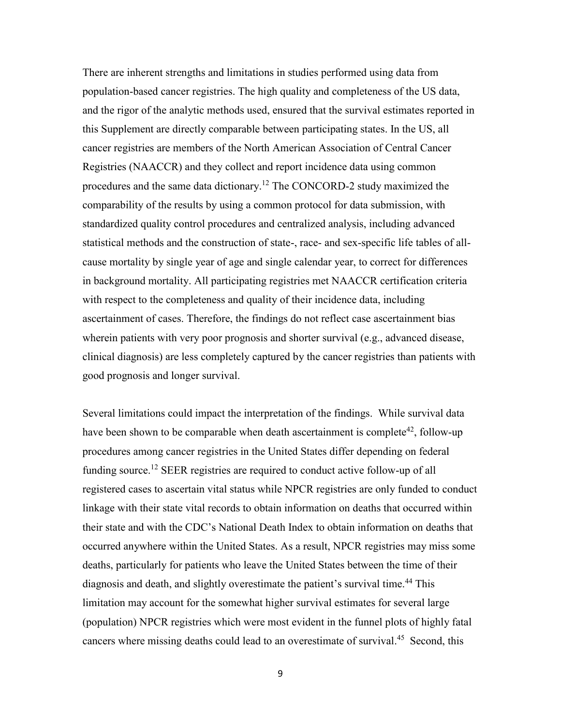There are inherent strengths and limitations in studies performed using data from population-based cancer registries. The high quality and completeness of the US data, and the rigor of the analytic methods used, ensured that the survival estimates reported in this Supplement are directly comparable between participating states. In the US, all cancer registries are members of the North American Association of Central Cancer Registries (NAACCR) and they collect and report incidence data using common procedures and the same data dictionary.<sup>12</sup> The CONCORD-2 study maximized the comparability of the results by using a common protocol for data submission, with standardized quality control procedures and centralized analysis, including advanced statistical methods and the construction of state-, race- and sex-specific life tables of allcause mortality by single year of age and single calendar year, to correct for differences in background mortality. All participating registries met NAACCR certification criteria with respect to the completeness and quality of their incidence data, including ascertainment of cases. Therefore, the findings do not reflect case ascertainment bias wherein patients with very poor prognosis and shorter survival (e.g., advanced disease, clinical diagnosis) are less completely captured by the cancer registries than patients with good prognosis and longer survival.

Several limitations could impact the interpretation of the findings. While survival data have been shown to be comparable when death ascertainment is complete<sup>42</sup>, follow-up procedures among cancer registries in the United States differ depending on federal funding source.<sup>12</sup> SEER registries are required to conduct active follow-up of all registered cases to ascertain vital status while NPCR registries are only funded to conduct linkage with their state vital records to obtain information on deaths that occurred within their state and with the CDC's National Death Index to obtain information on deaths that occurred anywhere within the United States. As a result, NPCR registries may miss some deaths, particularly for patients who leave the United States between the time of their diagnosis and death, and slightly overestimate the patient's survival time.<sup>44</sup> This limitation may account for the somewhat higher survival estimates for several large (population) NPCR registries which were most evident in the funnel plots of highly fatal cancers where missing deaths could lead to an overestimate of survival. 45 Second, this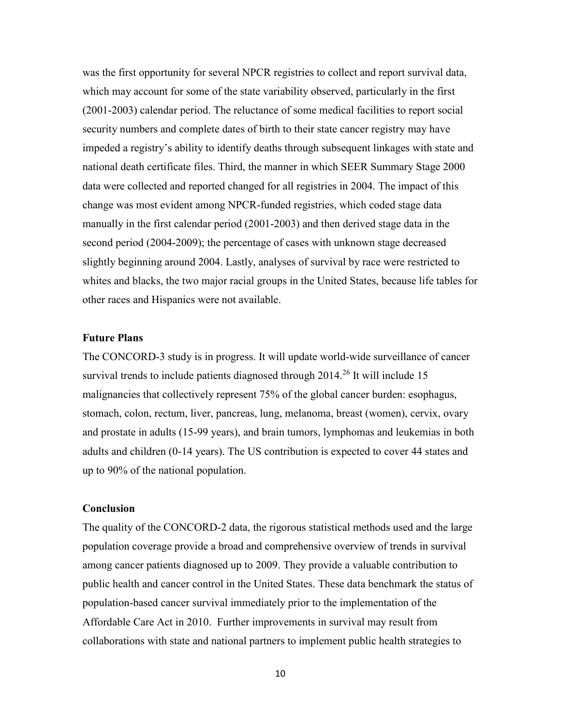was the first opportunity for several NPCR registries to collect and report survival data, which may account for some of the state variability observed, particularly in the first (2001-2003) calendar period. The reluctance of some medical facilities to report social security numbers and complete dates of birth to their state cancer registry may have impeded a registry's ability to identify deaths through subsequent linkages with state and national death certificate files. Third, the manner in which SEER Summary Stage 2000 data were collected and reported changed for all registries in 2004. The impact of this change was most evident among NPCR-funded registries, which coded stage data manually in the first calendar period (2001-2003) and then derived stage data in the second period (2004-2009); the percentage of cases with unknown stage decreased slightly beginning around 2004. Lastly, analyses of survival by race were restricted to whites and blacks, the two major racial groups in the United States, because life tables for other races and Hispanics were not available.

## **Future Plans**

The CONCORD-3 study is in progress. It will update world-wide surveillance of cancer survival trends to include patients diagnosed through  $2014.<sup>26</sup>$  It will include 15 malignancies that collectively represent 75% of the global cancer burden: esophagus, stomach, colon, rectum, liver, pancreas, lung, melanoma, breast (women), cervix, ovary and prostate in adults (15-99 years), and brain tumors, lymphomas and leukemias in both adults and children (0-14 years). The US contribution is expected to cover 44 states and up to 90% of the national population.

## **Conclusion**

The quality of the CONCORD-2 data, the rigorous statistical methods used and the large population coverage provide a broad and comprehensive overview of trends in survival among cancer patients diagnosed up to 2009. They provide a valuable contribution to public health and cancer control in the United States. These data benchmark the status of population-based cancer survival immediately prior to the implementation of the Affordable Care Act in 2010. Further improvements in survival may result from collaborations with state and national partners to implement public health strategies to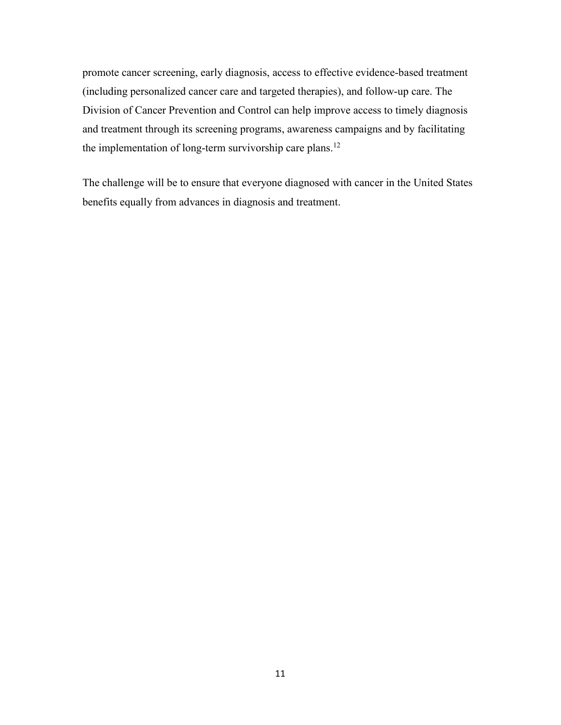promote cancer screening, early diagnosis, access to effective evidence-based treatment (including personalized cancer care and targeted therapies), and follow-up care. The Division of Cancer Prevention and Control can help improve access to timely diagnosis and treatment through its screening programs, awareness campaigns and by facilitating the implementation of long-term survivorship care plans.<sup>12</sup>

The challenge will be to ensure that everyone diagnosed with cancer in the United States benefits equally from advances in diagnosis and treatment.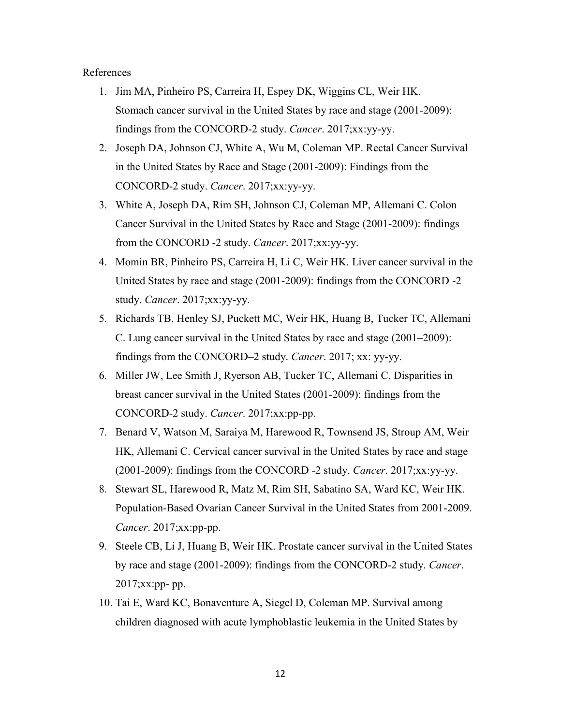#### References

- 1. Jim MA, Pinheiro PS, Carreira H, Espey DK, Wiggins CL, Weir HK. Stomach cancer survival in the United States by race and stage (2001-2009): findings from the CONCORD-2 study. *Cancer*. 2017;xx:yy-yy.
- 2. Joseph DA, Johnson CJ, White A, Wu M, Coleman MP. Rectal Cancer Survival in the United States by Race and Stage (2001-2009): Findings from the CONCORD-2 study. *Cancer*. 2017;xx:yy-yy.
- 3. White A, Joseph DA, Rim SH, Johnson CJ, Coleman MP, Allemani C. Colon Cancer Survival in the United States by Race and Stage (2001-2009): findings from the CONCORD -2 study. *Cancer*. 2017;xx:yy-yy.
- 4. Momin BR, Pinheiro PS, Carreira H, Li C, Weir HK. Liver cancer survival in the United States by race and stage (2001-2009): findings from the CONCORD -2 study. *Cancer*. 2017;xx:yy-yy.
- 5. Richards TB, Henley SJ, Puckett MC, Weir HK, Huang B, Tucker TC, Allemani C. Lung cancer survival in the United States by race and stage (2001–2009): findings from the CONCORD–2 study. *Cancer*. 2017; xx: yy-yy.
- 6. Miller JW, Lee Smith J, Ryerson AB, Tucker TC, Allemani C. Disparities in breast cancer survival in the United States (2001-2009): findings from the CONCORD-2 study. *Cancer*. 2017;xx:pp-pp.
- 7. Benard V, Watson M, Saraiya M, Harewood R, Townsend JS, Stroup AM, Weir HK, Allemani C. Cervical cancer survival in the United States by race and stage (2001-2009): findings from the CONCORD -2 study. *Cancer*. 2017;xx:yy-yy.
- 8. Stewart SL, Harewood R, Matz M, Rim SH, Sabatino SA, Ward KC, Weir HK. Population-Based Ovarian Cancer Survival in the United States from 2001-2009. *Cancer*. 2017;xx:pp-pp.
- 9. Steele CB, Li J, Huang B, Weir HK. Prostate cancer survival in the United States by race and stage (2001-2009): findings from the CONCORD-2 study. *Cancer*. 2017;xx:pp- pp.
- 10. Tai E, Ward KC, Bonaventure A, Siegel D, Coleman MP. Survival among children diagnosed with acute lymphoblastic leukemia in the United States by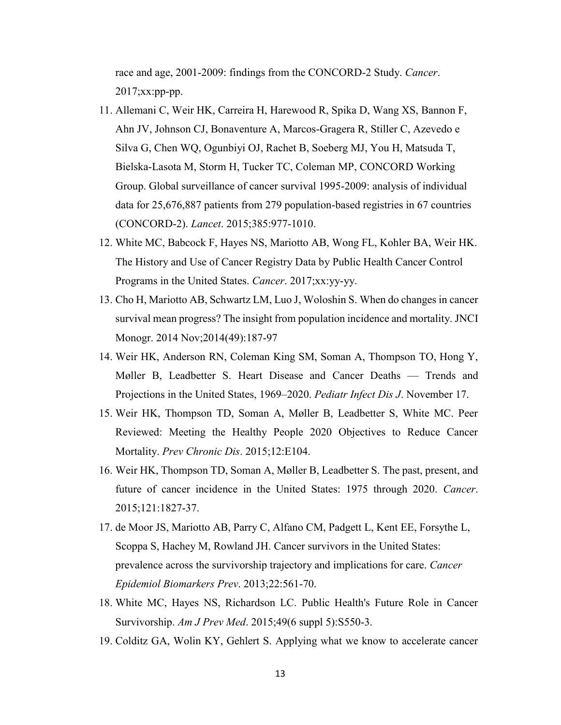race and age, 2001-2009: findings from the CONCORD-2 Study. *Cancer*.  $2017$ ; $xx:pp-pp.$ 

- 11. Allemani C, Weir HK, Carreira H, Harewood R, Spika D, Wang XS, Bannon F, Ahn JV, Johnson CJ, Bonaventure A, Marcos-Gragera R, Stiller C, Azevedo e Silva G, Chen WQ, Ogunbiyi OJ, Rachet B, Soeberg MJ, You H, Matsuda T, Bielska-Lasota M, Storm H, Tucker TC, Coleman MP, CONCORD Working Group. [Global surveillance of cancer survival 1995-2009: analysis of individual](https://www.ncbi.nlm.nih.gov/pubmed/25467588)  [data for 25,676,887 patients from 279 population-based registries in 67 countries](https://www.ncbi.nlm.nih.gov/pubmed/25467588)  [\(CONCORD-2\).](https://www.ncbi.nlm.nih.gov/pubmed/25467588) *Lancet*. 2015;385:977-1010.
- 12. White MC, Babcock F, Hayes NS, Mariotto AB, Wong FL, Kohler BA, Weir HK. The History and Use of Cancer Registry Data by Public Health Cancer Control Programs in the United States. *Cancer*. 2017;xx:yy-yy.
- 13. Cho H, Mariotto AB, Schwartz LM, Luo J, Woloshin S[. When do changes in cancer](http://www.ncbi.nlm.nih.gov/pubmed/25417232)  [survival mean progress? The insight from population incidence and mortality.](http://www.ncbi.nlm.nih.gov/pubmed/25417232) JNCI Monogr. 2014 Nov;2014(49):187-97
- 14. Weir HK, Anderson RN, Coleman King SM, Soman A, Thompson TO, Hong Y, Møller B, Leadbetter S. Heart Disease and Cancer Deaths — Trends and Projections in the United States, 1969–2020. *Pediatr Infect Dis J*. November 17.
- 15. Weir HK, Thompson TD, Soman A, Møller B, Leadbetter S, White MC. Peer Reviewed: Meeting the Healthy People 2020 Objectives to Reduce Cancer Mortality. *Prev Chronic Dis*. 2015;12:E104.
- 16. Weir HK, Thompson TD, Soman A, Møller B, Leadbetter S. The past, present, and future of cancer incidence in the United States: 1975 through 2020. *Cancer*. 2015;121:1827-37.
- 17. de Moor JS, Mariotto AB, Parry C, Alfano CM, Padgett L, Kent EE, Forsythe L, Scoppa S, Hachey M, Rowland JH. [Cancer survivors in the United States:](http://www.ncbi.nlm.nih.gov/pubmed/23535024)  [prevalence across the survivorship trajectory and implications for care.](http://www.ncbi.nlm.nih.gov/pubmed/23535024) *Cancer Epidemiol Biomarkers Prev*. 2013;22:561-70.
- 18. White MC, Hayes NS, Richardson LC. [Public Health's Future Role in Cancer](https://www.ncbi.nlm.nih.gov/pubmed/26590651)  [Survivorship.](https://www.ncbi.nlm.nih.gov/pubmed/26590651) *Am J Prev Med*. 2015;49(6 suppl 5):S550-3.
- 19. Colditz GA, Wolin KY, Gehlert S. [Applying what we know to accelerate cancer](https://www.ncbi.nlm.nih.gov/pubmed/22461645)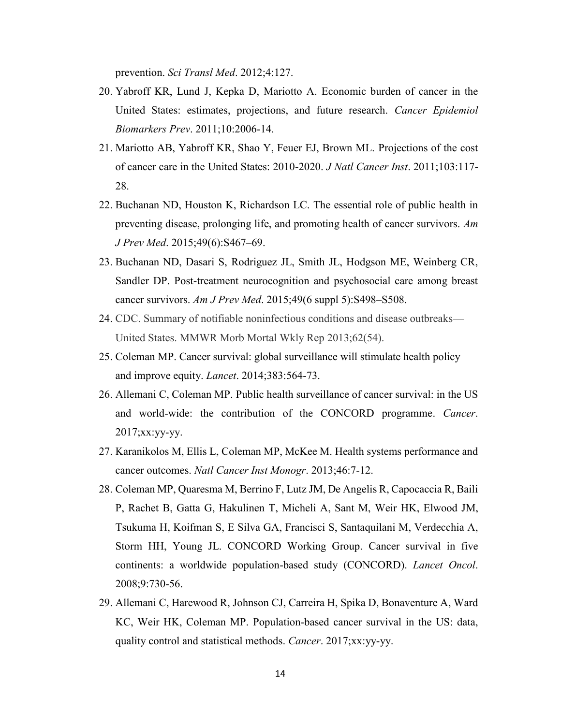[prevention.](https://www.ncbi.nlm.nih.gov/pubmed/22461645) *Sci Transl Med*. 2012;4:127.

- 20. Yabroff KR, Lund J, Kepka D, Mariotto A. [Economic burden of cancer in the](http://www.ncbi.nlm.nih.gov/pubmed/21980008)  [United States: estimates, projections, and future research.](http://www.ncbi.nlm.nih.gov/pubmed/21980008) *Cancer Epidemiol Biomarkers Prev*. 2011;10:2006-14.
- 21. Mariotto AB, Yabroff KR, Shao Y, Feuer EJ, Brown ML. [Projections of the cost](http://www.ncbi.nlm.nih.gov/pubmed/21228314)  [of cancer care in the United States: 2010-2020.](http://www.ncbi.nlm.nih.gov/pubmed/21228314) *J Natl Cancer Inst*. 2011;103:117- 28.
- 22. Buchanan ND, Houston K, Richardson LC. [The essential role of public health in](http://www.ajpmonline.org/article/S0749-3797(15)00452-3/fulltext)  [preventing disease, prolonging life, and promoting health of cancer survivors.](http://www.ajpmonline.org/article/S0749-3797(15)00452-3/fulltext) *Am J Prev Med*. 2015;49(6):S467–69.
- 23. Buchanan ND, Dasari S, Rodriguez JL, Smith JL, Hodgson ME, Weinberg CR, Sandler DP. [Post-treatment neurocognition and psychosocial care among breast](http://www.ajpmonline.org/article/S0749-3797(15)00487-0/fulltext)  [cancer survivors.](http://www.ajpmonline.org/article/S0749-3797(15)00487-0/fulltext) *Am J Prev Med*. 2015;49(6 suppl 5):S498–S508.
- 24. CDC. Summary of notifiable noninfectious conditions and disease outbreaks— United States. MMWR Morb Mortal Wkly Rep 2013;62(54).
- 25. Coleman MP. [Cancer survival: global surveillance will stimulate health policy](http://www.ncbi.nlm.nih.gov/pubmed/24351320)  [and improve equity.](http://www.ncbi.nlm.nih.gov/pubmed/24351320) *Lancet*. 2014;383:564-73.
- 26. Allemani C, [Coleman MP.](http://www.ncbi.nlm.nih.gov/pubmed/?term=Coleman%20MP%5BAuthor%5D&cauthor=true&cauthor_uid=21183212) Public health surveillance of cancer survival: in the US and world-wide: the contribution of the CONCORD programme. *Cancer*. 2017;xx:yy-yy.
- 27. Karanikolos M, Ellis L, Coleman MP, McKee M. [Health systems performance and](http://www.ncbi.nlm.nih.gov/pubmed/23962507)  [cancer outcomes.](http://www.ncbi.nlm.nih.gov/pubmed/23962507) *Natl Cancer Inst Monogr*. 2013;46:7-12.
- 28. Coleman MP, Quaresma M, Berrino F, Lutz JM, De Angelis R, Capocaccia R, Baili P, Rachet B, Gatta G, Hakulinen T, Micheli A, Sant M, Weir HK, Elwood JM, Tsukuma H, Koifman S, E Silva GA, Francisci S, Santaquilani M, Verdecchia A, Storm HH, Young JL. CONCORD Working Group. [Cancer survival in five](https://www.ncbi.nlm.nih.gov/pubmed/18639491)  [continents: a worldwide population-based study \(CONCORD\).](https://www.ncbi.nlm.nih.gov/pubmed/18639491) *Lancet Oncol*. 2008;9:730-56.
- 29. Allemani C, Harewood R, Johnson CJ, Carreira H, Spika D, Bonaventure A, Ward KC, Weir HK, Coleman MP. Population-based cancer survival in the US: data, quality control and statistical methods. *Cancer*. 2017;xx:yy-yy.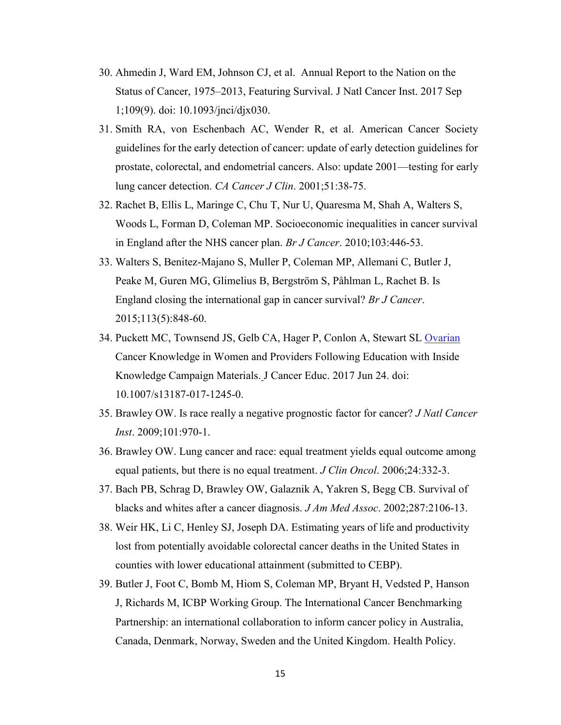- 30. Ahmedin J, Ward EM, Johnson CJ, et al. Annual Report to the Nation on the Status of Cancer, 1975–2013, Featuring Survival. J Natl Cancer Inst. 2017 Sep 1;109(9). doi: 10.1093/jnci/djx030.
- 31. Smith RA, von Eschenbach AC, Wender R, et al. American Cancer Society guidelines for the early detection of cancer: update of early detection guidelines for prostate, colorectal, and endometrial cancers. Also: update 2001—testing for early lung cancer detection. *CA Cancer J Clin*. 2001;51:38-75.
- 32. Rachet B, Ellis L, Maringe C, Chu T, Nur U, Quaresma M, Shah A, Walters S, Woods L, Forman D, Coleman MP. [Socioeconomic inequalities in cancer survival](http://www.ncbi.nlm.nih.gov/pubmed/20588275)  [in England after the NHS cancer plan.](http://www.ncbi.nlm.nih.gov/pubmed/20588275) *Br J Cancer*. 2010;103:446-53.
- 33. Walters S, Benitez-Majano S, Muller P, Coleman MP, Allemani C, Butler J, Peake M, Guren MG, Glimelius B, Bergström S, Påhlman L, Rachet B. Is England closing the international gap in cancer survival? *Br J Cancer*. 2015;113(5):848-60.
- 34. Puckett MC, Townsend JS, Gelb CA, Hager P, Conlon A, Stewart SL Ovarian Cancer Knowledge in Women and Providers Following Education with Inside Knowledge Campaign Materials. J Cancer Educ. 2017 Jun 24. doi: 10.1007/s13187-017-1245-0.
- 35. Brawley OW. Is race really a negative prognostic factor for cancer? *J Natl Cancer Inst*. 2009;101:970-1.
- 36. Brawley OW. Lung cancer and race: equal treatment yields equal outcome among equal patients, but there is no equal treatment. *J Clin Oncol*. 2006;24:332-3.
- 37. Bach PB, Schrag D, Brawley OW, Galaznik A, Yakren S, Begg CB. Survival of blacks and whites after a cancer diagnosis. *J Am Med Assoc*. 2002;287:2106-13.
- 38. Weir HK, Li C, Henley SJ, Joseph DA. Estimating years of life and productivity lost from potentially avoidable colorectal cancer deaths in the United States in counties with lower educational attainment (submitted to CEBP).
- 39. Butler J, Foot C, Bomb M, Hiom S, Coleman MP, Bryant H, Vedsted P, Hanson J, Richards M, ICBP Working Group. [The International Cancer Benchmarking](http://www.ncbi.nlm.nih.gov/pubmed/23693117)  [Partnership: an international collaboration to inform cancer policy in Australia,](http://www.ncbi.nlm.nih.gov/pubmed/23693117)  [Canada, Denmark, Norway, Sweden and the United Kingdom.](http://www.ncbi.nlm.nih.gov/pubmed/23693117) Health Policy.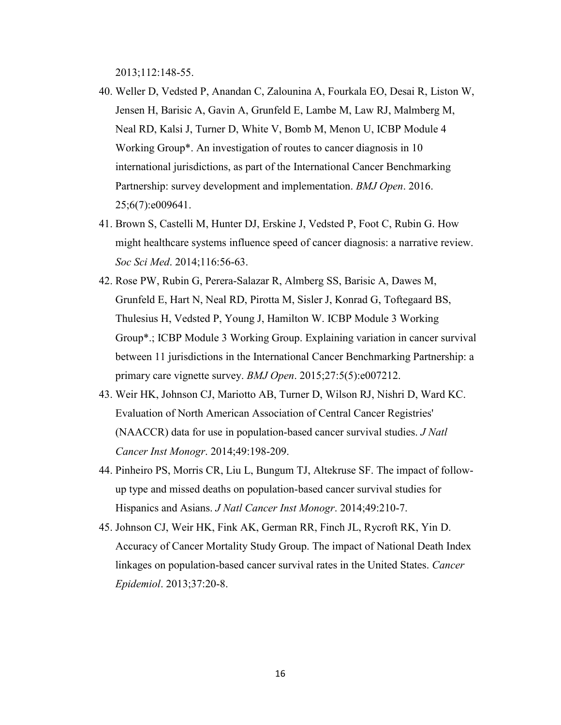2013;112:148-55.

- 40. Weller D, Vedsted P, Anandan C, Zalounina A, Fourkala EO, Desai R, Liston W, Jensen H, Barisic A, Gavin A, Grunfeld E, Lambe M, Law RJ, Malmberg M, Neal RD, Kalsi J, Turner D, White V, Bomb M, Menon U, ICBP Module 4 Working Group\*. [An investigation of routes to cancer](https://www.ncbi.nlm.nih.gov/pubmed/27456325) diagnosis in 10 [international jurisdictions, as part of the International Cancer](https://www.ncbi.nlm.nih.gov/pubmed/27456325) Benchmarking [Partnership: survey development and implementation.](https://www.ncbi.nlm.nih.gov/pubmed/27456325) *BMJ Open*. 2016. 25;6(7):e009641.
- 41. Brown S, Castelli M, Hunter DJ, Erskine J, Vedsted P, Foot C, Rubin G. [How](https://www.ncbi.nlm.nih.gov/pubmed/24980792)  [might healthcare systems influence speed of cancer diagnosis: a narrative review.](https://www.ncbi.nlm.nih.gov/pubmed/24980792) *Soc Sci Med*. 2014;116:56-63.
- 42. Rose PW, Rubin G, Perera-Salazar R, Almberg SS, Barisic A, Dawes M, Grunfeld E, Hart N, Neal RD, Pirotta M, Sisler J, Konrad G, Toftegaard BS, Thulesius H, Vedsted P, Young J, Hamilton W. ICBP Module 3 Working Group\*.; ICBP Module 3 Working Group. [Explaining variation in cancer](https://www.ncbi.nlm.nih.gov/pubmed/26017370) survival [between 11 jurisdictions in the International Cancer](https://www.ncbi.nlm.nih.gov/pubmed/26017370) Benchmarking Partnership: a [primary care vignette survey.](https://www.ncbi.nlm.nih.gov/pubmed/26017370) *BMJ Open*. 2015;27:5(5):e007212.
- 43. Weir HK, Johnson CJ, Mariotto AB, Turner D, Wilson RJ, Nishri D, Ward KC. [Evaluation of North American Association of Central Cancer Registries'](https://www.ncbi.nlm.nih.gov/pubmed/25417233)  [\(NAACCR\) data for use in population-based cancer survival studies.](https://www.ncbi.nlm.nih.gov/pubmed/25417233) *J Natl Cancer Inst Monogr*. 2014;49:198-209.
- 44. Pinheiro PS, Morris CR, Liu L, Bungum TJ, Altekruse SF. [The impact of follow](https://www.ncbi.nlm.nih.gov/pubmed/25417234)[up type and missed deaths on population-based cancer](https://www.ncbi.nlm.nih.gov/pubmed/25417234) survival studies for [Hispanics and Asians.](https://www.ncbi.nlm.nih.gov/pubmed/25417234) *J Natl Cancer Inst Monogr*. 2014;49:210-7.
- 45. Johnson CJ, Weir HK, Fink AK, German RR, Finch JL, Rycroft RK, Yin D. Accuracy of Cancer Mortality Study Group. [The impact of National Death Index](https://www.ncbi.nlm.nih.gov/pubmed/22959341)  [linkages on population-based cancer survival rates in the United States.](https://www.ncbi.nlm.nih.gov/pubmed/22959341) *Cancer Epidemiol*. 2013;37:20-8.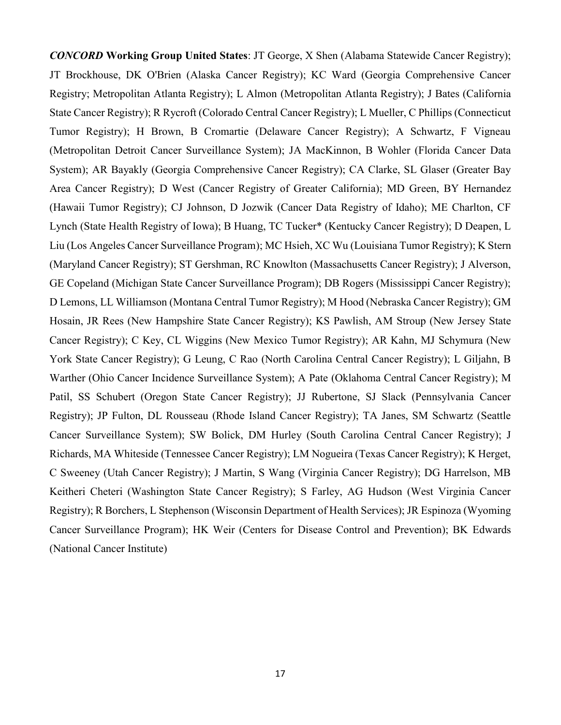*CONCORD* **Working Group United States**: JT George, X Shen (Alabama Statewide Cancer Registry); JT Brockhouse, DK O'Brien (Alaska Cancer Registry); KC Ward (Georgia Comprehensive Cancer Registry; Metropolitan Atlanta Registry); L Almon (Metropolitan Atlanta Registry); J Bates (California State Cancer Registry); R Rycroft (Colorado Central Cancer Registry); L Mueller, C Phillips (Connecticut Tumor Registry); H Brown, B Cromartie (Delaware Cancer Registry); A Schwartz, F Vigneau (Metropolitan Detroit Cancer Surveillance System); JA MacKinnon, B Wohler (Florida Cancer Data System); AR Bayakly (Georgia Comprehensive Cancer Registry); CA Clarke, SL Glaser (Greater Bay Area Cancer Registry); D West (Cancer Registry of Greater California); MD Green, BY Hernandez (Hawaii Tumor Registry); CJ Johnson, D Jozwik (Cancer Data Registry of Idaho); ME Charlton, CF Lynch (State Health Registry of Iowa); B Huang, TC Tucker\* (Kentucky Cancer Registry); D Deapen, L Liu (Los Angeles Cancer Surveillance Program); MC Hsieh, XC Wu (Louisiana Tumor Registry); K Stern (Maryland Cancer Registry); ST Gershman, RC Knowlton (Massachusetts Cancer Registry); J Alverson, GE Copeland (Michigan State Cancer Surveillance Program); DB Rogers (Mississippi Cancer Registry); D Lemons, LL Williamson (Montana Central Tumor Registry); M Hood (Nebraska Cancer Registry); GM Hosain, JR Rees (New Hampshire State Cancer Registry); KS Pawlish, AM Stroup (New Jersey State Cancer Registry); C Key, CL Wiggins (New Mexico Tumor Registry); AR Kahn, MJ Schymura (New York State Cancer Registry); G Leung, C Rao (North Carolina Central Cancer Registry); L Giljahn, B Warther (Ohio Cancer Incidence Surveillance System); A Pate (Oklahoma Central Cancer Registry); M Patil, SS Schubert (Oregon State Cancer Registry); JJ Rubertone, SJ Slack (Pennsylvania Cancer Registry); JP Fulton, DL Rousseau (Rhode Island Cancer Registry); TA Janes, SM Schwartz (Seattle Cancer Surveillance System); SW Bolick, DM Hurley (South Carolina Central Cancer Registry); J Richards, MA Whiteside (Tennessee Cancer Registry); LM Nogueira (Texas Cancer Registry); K Herget, C Sweeney (Utah Cancer Registry); J Martin, S Wang (Virginia Cancer Registry); DG Harrelson, MB Keitheri Cheteri (Washington State Cancer Registry); S Farley, AG Hudson (West Virginia Cancer Registry); R Borchers, L Stephenson (Wisconsin Department of Health Services); JR Espinoza (Wyoming Cancer Surveillance Program); HK Weir (Centers for Disease Control and Prevention); BK Edwards (National Cancer Institute)